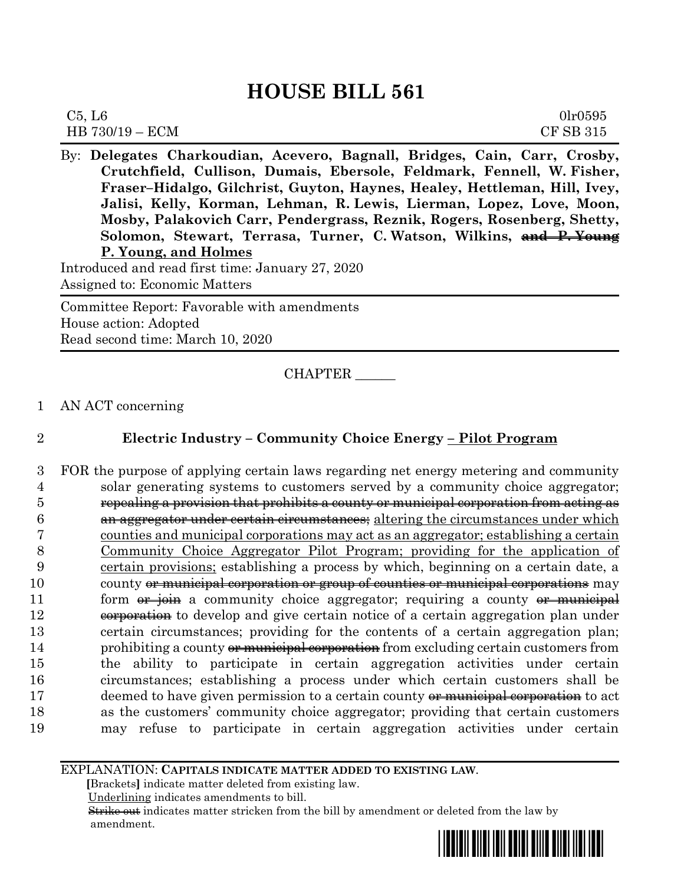| C5, L6            | 0lr0595   |
|-------------------|-----------|
| $HB 730/19 - ECM$ | CF SB 315 |

By: **Delegates Charkoudian, Acevero, Bagnall, Bridges, Cain, Carr, Crosby, Crutchfield, Cullison, Dumais, Ebersole, Feldmark, Fennell, W. Fisher, Fraser–Hidalgo, Gilchrist, Guyton, Haynes, Healey, Hettleman, Hill, Ivey, Jalisi, Kelly, Korman, Lehman, R. Lewis, Lierman, Lopez, Love, Moon, Mosby, Palakovich Carr, Pendergrass, Reznik, Rogers, Rosenberg, Shetty, Solomon, Stewart, Terrasa, Turner, C. Watson, Wilkins, and P. Young P. Young, and Holmes**

Introduced and read first time: January 27, 2020 Assigned to: Economic Matters

Committee Report: Favorable with amendments House action: Adopted Read second time: March 10, 2020

CHAPTER \_\_\_\_\_\_

## 1 AN ACT concerning

# 2 **Electric Industry – Community Choice Energy – Pilot Program**

 FOR the purpose of applying certain laws regarding net energy metering and community solar generating systems to customers served by a community choice aggregator; repealing a provision that prohibits a county or municipal corporation from acting as an aggregator under certain circumstances; altering the circumstances under which counties and municipal corporations may act as an aggregator; establishing a certain Community Choice Aggregator Pilot Program; providing for the application of certain provisions; establishing a process by which, beginning on a certain date, a 10 county or municipal corporation or group of counties or municipal corporations may 11 form  $\theta$  is extended to the aggregator; requiring a county  $\theta$  municipal 12 exporation to develop and give certain notice of a certain aggregation plan under certain circumstances; providing for the contents of a certain aggregation plan; 14 prohibiting a county or municipal corporation from excluding certain customers from the ability to participate in certain aggregation activities under certain circumstances; establishing a process under which certain customers shall be 17 deemed to have given permission to a certain county <del>or municipal corporation</del> to act as the customers' community choice aggregator; providing that certain customers may refuse to participate in certain aggregation activities under certain

EXPLANATION: **CAPITALS INDICATE MATTER ADDED TO EXISTING LAW**.

 **[**Brackets**]** indicate matter deleted from existing law.

Underlining indicates amendments to bill.

 Strike out indicates matter stricken from the bill by amendment or deleted from the law by amendment.

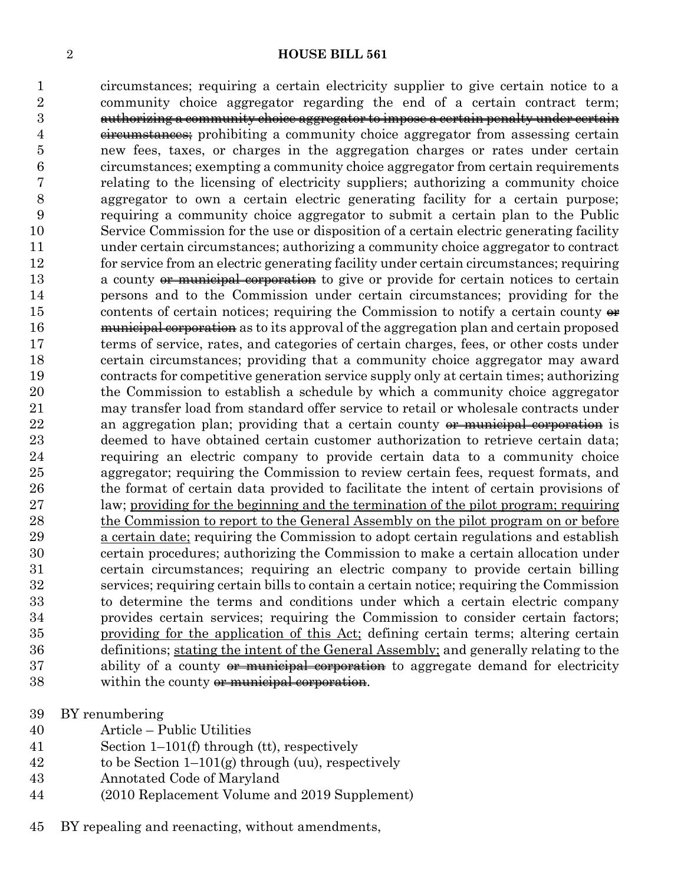circumstances; requiring a certain electricity supplier to give certain notice to a community choice aggregator regarding the end of a certain contract term; authorizing a community choice aggregator to impose a certain penalty under certain 4 c<del>ircumstances;</del> prohibiting a community choice aggregator from assessing certain new fees, taxes, or charges in the aggregation charges or rates under certain circumstances; exempting a community choice aggregator from certain requirements relating to the licensing of electricity suppliers; authorizing a community choice aggregator to own a certain electric generating facility for a certain purpose; requiring a community choice aggregator to submit a certain plan to the Public Service Commission for the use or disposition of a certain electric generating facility under certain circumstances; authorizing a community choice aggregator to contract for service from an electric generating facility under certain circumstances; requiring 13 a county or municipal corporation to give or provide for certain notices to certain persons and to the Commission under certain circumstances; providing for the 15 contents of certain notices; requiring the Commission to notify a certain county  $\theta$ **municipal corporation** as to its approval of the aggregation plan and certain proposed terms of service, rates, and categories of certain charges, fees, or other costs under certain circumstances; providing that a community choice aggregator may award contracts for competitive generation service supply only at certain times; authorizing the Commission to establish a schedule by which a community choice aggregator may transfer load from standard offer service to retail or wholesale contracts under 22 an aggregation plan; providing that a certain county <del>or municipal corporation</del> is deemed to have obtained certain customer authorization to retrieve certain data; requiring an electric company to provide certain data to a community choice aggregator; requiring the Commission to review certain fees, request formats, and the format of certain data provided to facilitate the intent of certain provisions of law; providing for the beginning and the termination of the pilot program; requiring the Commission to report to the General Assembly on the pilot program on or before a certain date; requiring the Commission to adopt certain regulations and establish certain procedures; authorizing the Commission to make a certain allocation under certain circumstances; requiring an electric company to provide certain billing services; requiring certain bills to contain a certain notice; requiring the Commission to determine the terms and conditions under which a certain electric company provides certain services; requiring the Commission to consider certain factors; providing for the application of this Act; defining certain terms; altering certain definitions; stating the intent of the General Assembly; and generally relating to the 37 ability of a county or municipal corporation to aggregate demand for electricity 38 within the county or municipal corporation.

- BY renumbering
- Article Public Utilities
- Section 1–101(f) through (tt), respectively
- 42 to be Section  $1-101(g)$  through (uu), respectively
- Annotated Code of Maryland
- (2010 Replacement Volume and 2019 Supplement)
- BY repealing and reenacting, without amendments,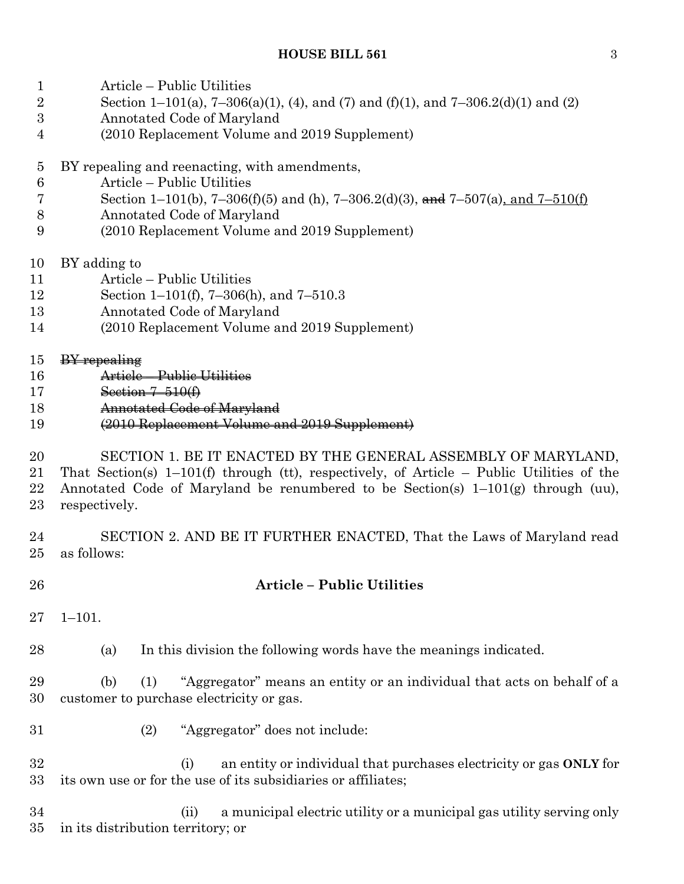- Article Public Utilities
- 2 Section 1–101(a), 7–306(a)(1), (4), and (7) and (f)(1), and 7–306.2(d)(1) and (2)
- Annotated Code of Maryland
- (2010 Replacement Volume and 2019 Supplement)
- BY repealing and reenacting, with amendments,
- Article Public Utilities
- 7 Section 1–101(b), 7–306(f)(5) and (h), 7–306.2(d)(3), and 7–507(a), and 7–510(f)
- Annotated Code of Maryland
- (2010 Replacement Volume and 2019 Supplement)
- BY adding to
- Article Public Utilities
- Section 1–101(f), 7–306(h), and 7–510.3
- Annotated Code of Maryland
- (2010 Replacement Volume and 2019 Supplement)
- 15 BY repealing
- Article Public Utilities
- Section 7–510(f)
- Annotated Code of Maryland
- (2010 Replacement Volume and 2019 Supplement)
- SECTION 1. BE IT ENACTED BY THE GENERAL ASSEMBLY OF MARYLAND, That Section(s) 1–101(f) through (tt), respectively, of Article – Public Utilities of the 22 Annotated Code of Maryland be renumbered to be Section(s)  $1-101(g)$  through (uu), respectively.
- SECTION 2. AND BE IT FURTHER ENACTED, That the Laws of Maryland read as follows:
- **Article – Public Utilities**
- 1–101.

(a) In this division the following words have the meanings indicated.

 (b) (1) "Aggregator" means an entity or an individual that acts on behalf of a customer to purchase electricity or gas.

- (2) "Aggregator" does not include:
- (i) an entity or individual that purchases electricity or gas **ONLY** for its own use or for the use of its subsidiaries or affiliates;

 (ii) a municipal electric utility or a municipal gas utility serving only in its distribution territory; or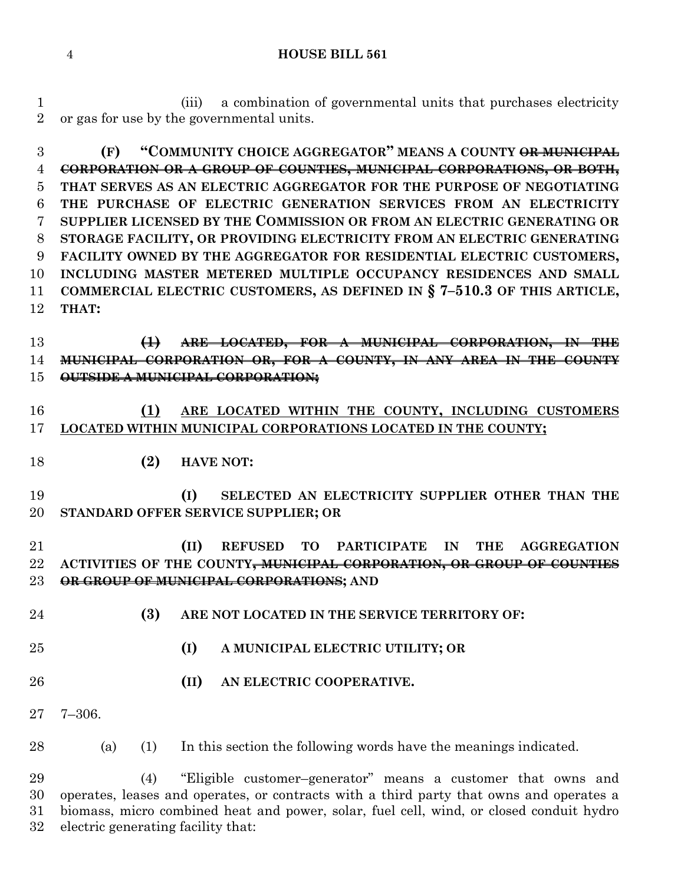(iii) a combination of governmental units that purchases electricity or gas for use by the governmental units.

 **(F) "COMMUNITY CHOICE AGGREGATOR" MEANS A COUNTY OR MUNICIPAL CORPORATION OR A GROUP OF COUNTIES, MUNICIPAL CORPORATIONS, OR BOTH, THAT SERVES AS AN ELECTRIC AGGREGATOR FOR THE PURPOSE OF NEGOTIATING THE PURCHASE OF ELECTRIC GENERATION SERVICES FROM AN ELECTRICITY SUPPLIER LICENSED BY THE COMMISSION OR FROM AN ELECTRIC GENERATING OR STORAGE FACILITY, OR PROVIDING ELECTRICITY FROM AN ELECTRIC GENERATING FACILITY OWNED BY THE AGGREGATOR FOR RESIDENTIAL ELECTRIC CUSTOMERS, INCLUDING MASTER METERED MULTIPLE OCCUPANCY RESIDENCES AND SMALL COMMERCIAL ELECTRIC CUSTOMERS, AS DEFINED IN § 7–510.3 OF THIS ARTICLE, THAT:**

 **(1) ARE LOCATED, FOR A MUNICIPAL CORPORATION, IN THE MUNICIPAL CORPORATION OR, FOR A COUNTY, IN ANY AREA IN THE COUNTY OUTSIDE A MUNICIPAL CORPORATION;**

# **(1) ARE LOCATED WITHIN THE COUNTY, INCLUDING CUSTOMERS LOCATED WITHIN MUNICIPAL CORPORATIONS LOCATED IN THE COUNTY;**

**(2) HAVE NOT:**

 **(I) SELECTED AN ELECTRICITY SUPPLIER OTHER THAN THE STANDARD OFFER SERVICE SUPPLIER; OR**

 **(II) REFUSED TO PARTICIPATE IN THE AGGREGATION ACTIVITIES OF THE COUNTY, MUNICIPAL CORPORATION, OR GROUP OF COUNTIES OR GROUP OF MUNICIPAL CORPORATIONS; AND**

- **(3) ARE NOT LOCATED IN THE SERVICE TERRITORY OF:**
- **(I) A MUNICIPAL ELECTRIC UTILITY; OR**
- **(II) AN ELECTRIC COOPERATIVE.**
- 7–306.

(a) (1) In this section the following words have the meanings indicated.

 (4) "Eligible customer–generator" means a customer that owns and operates, leases and operates, or contracts with a third party that owns and operates a biomass, micro combined heat and power, solar, fuel cell, wind, or closed conduit hydro electric generating facility that: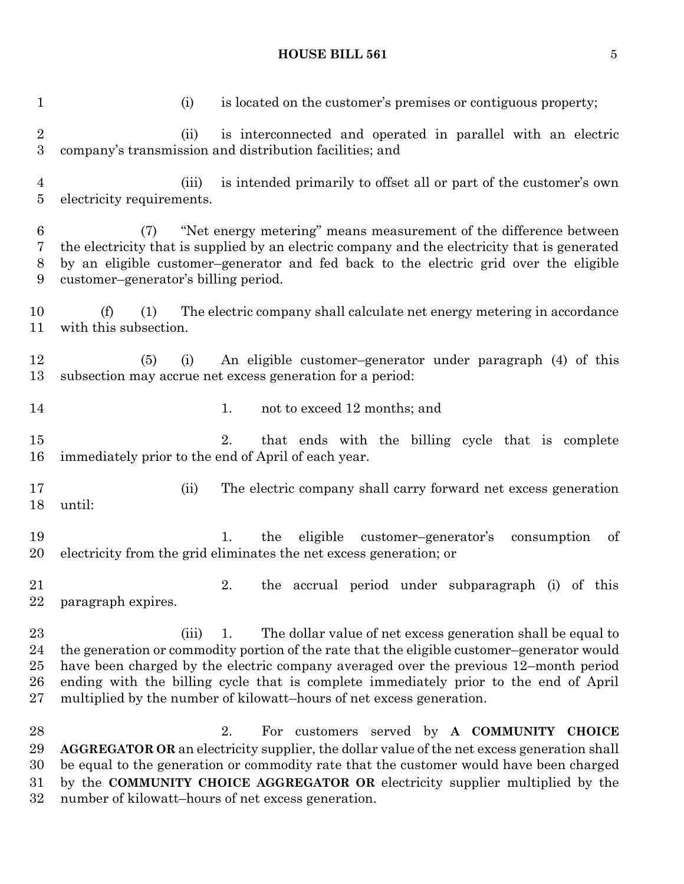#### **HOUSE BILL 561** 5

1 (i) is located on the customer's premises or contiguous property; (ii) is interconnected and operated in parallel with an electric company's transmission and distribution facilities; and (iii) is intended primarily to offset all or part of the customer's own electricity requirements. (7) "Net energy metering" means measurement of the difference between the electricity that is supplied by an electric company and the electricity that is generated by an eligible customer–generator and fed back to the electric grid over the eligible customer–generator's billing period. (f) (1) The electric company shall calculate net energy metering in accordance with this subsection. (5) (i) An eligible customer–generator under paragraph (4) of this subsection may accrue net excess generation for a period: 14 1. not to exceed 12 months; and 2. that ends with the billing cycle that is complete immediately prior to the end of April of each year. (ii) The electric company shall carry forward net excess generation until: 1. the eligible customer–generator's consumption of electricity from the grid eliminates the net excess generation; or 2. the accrual period under subparagraph (i) of this paragraph expires. 23 (iii) 1. The dollar value of net excess generation shall be equal to the generation or commodity portion of the rate that the eligible customer–generator would have been charged by the electric company averaged over the previous 12–month period ending with the billing cycle that is complete immediately prior to the end of April multiplied by the number of kilowatt–hours of net excess generation. 2. For customers served by **A COMMUNITY CHOICE AGGREGATOR OR** an electricity supplier, the dollar value of the net excess generation shall be equal to the generation or commodity rate that the customer would have been charged by the **COMMUNITY CHOICE AGGREGATOR OR** electricity supplier multiplied by the number of kilowatt–hours of net excess generation.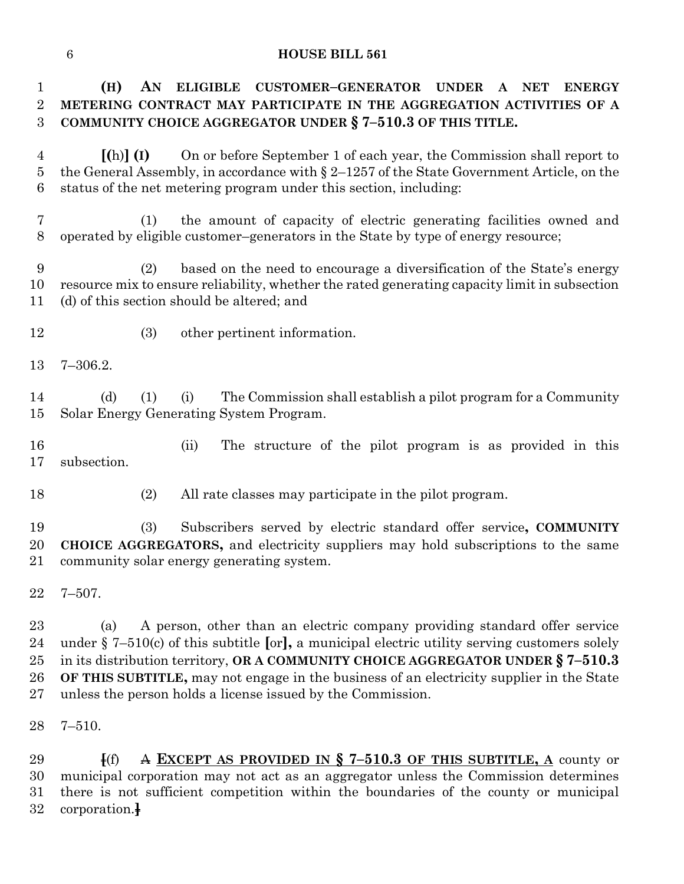**(H) AN ELIGIBLE CUSTOMER–GENERATOR UNDER A NET ENERGY METERING CONTRACT MAY PARTICIPATE IN THE AGGREGATION ACTIVITIES OF A COMMUNITY CHOICE AGGREGATOR UNDER § 7–510.3 OF THIS TITLE.**

 **[(**h)**] (I)** On or before September 1 of each year, the Commission shall report to the General Assembly, in accordance with § 2–1257 of the State Government Article, on the status of the net metering program under this section, including:

 (1) the amount of capacity of electric generating facilities owned and operated by eligible customer–generators in the State by type of energy resource;

 (2) based on the need to encourage a diversification of the State's energy resource mix to ensure reliability, whether the rated generating capacity limit in subsection (d) of this section should be altered; and

- (3) other pertinent information.
- 7–306.2.

 (d) (1) (i) The Commission shall establish a pilot program for a Community Solar Energy Generating System Program.

 (ii) The structure of the pilot program is as provided in this subsection.

(2) All rate classes may participate in the pilot program.

 (3) Subscribers served by electric standard offer service**, COMMUNITY CHOICE AGGREGATORS,** and electricity suppliers may hold subscriptions to the same community solar energy generating system.

7–507.

 (a) A person, other than an electric company providing standard offer service under § 7–510(c) of this subtitle **[**or**],** a municipal electric utility serving customers solely in its distribution territory, **OR A COMMUNITY CHOICE AGGREGATOR UNDER § 7–510.3 OF THIS SUBTITLE,** may not engage in the business of an electricity supplier in the State unless the person holds a license issued by the Commission.

7–510.

 **[**(f) A **EXCEPT AS PROVIDED IN § 7–510.3 OF THIS SUBTITLE, A** county or municipal corporation may not act as an aggregator unless the Commission determines there is not sufficient competition within the boundaries of the county or municipal corporation.**]**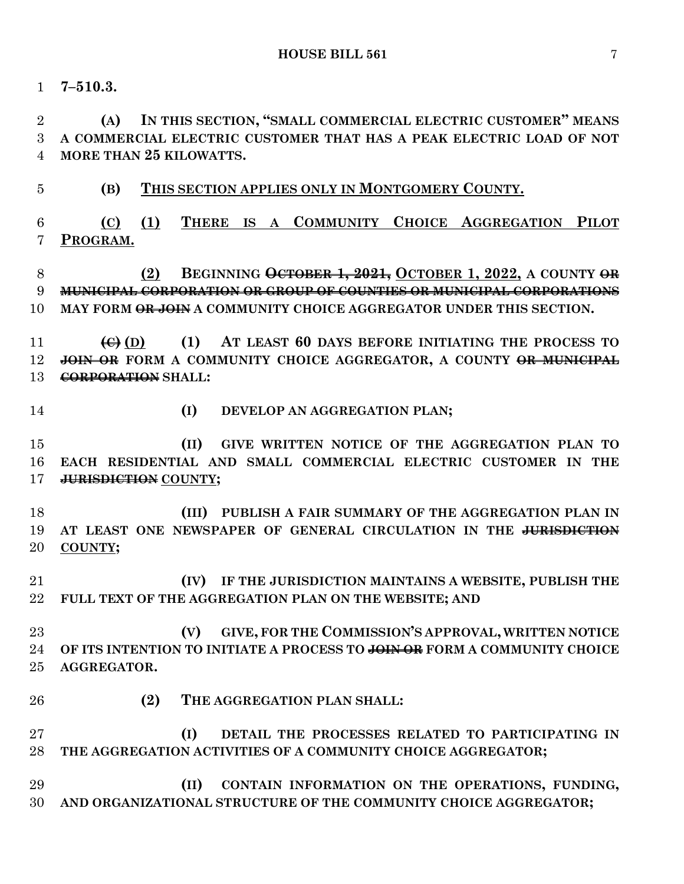**7–510.3.**

 **(A) IN THIS SECTION, "SMALL COMMERCIAL ELECTRIC CUSTOMER" MEANS A COMMERCIAL ELECTRIC CUSTOMER THAT HAS A PEAK ELECTRIC LOAD OF NOT MORE THAN 25 KILOWATTS.**

**(B) THIS SECTION APPLIES ONLY IN MONTGOMERY COUNTY.**

 **(C) (1) THERE IS A COMMUNITY CHOICE AGGREGATION PILOT PROGRAM.**

 **(2) BEGINNING OCTOBER 1, 2021, OCTOBER 1, 2022, A COUNTY OR MUNICIPAL CORPORATION OR GROUP OF COUNTIES OR MUNICIPAL CORPORATIONS MAY FORM OR JOIN A COMMUNITY CHOICE AGGREGATOR UNDER THIS SECTION.**

 **(C) (D) (1) AT LEAST 60 DAYS BEFORE INITIATING THE PROCESS TO JOIN OR FORM A COMMUNITY CHOICE AGGREGATOR, A COUNTY OR MUNICIPAL CORPORATION SHALL:**

- 
- **(I) DEVELOP AN AGGREGATION PLAN;**

 **(II) GIVE WRITTEN NOTICE OF THE AGGREGATION PLAN TO EACH RESIDENTIAL AND SMALL COMMERCIAL ELECTRIC CUSTOMER IN THE JURISDICTION COUNTY;**

 **(III) PUBLISH A FAIR SUMMARY OF THE AGGREGATION PLAN IN AT LEAST ONE NEWSPAPER OF GENERAL CIRCULATION IN THE JURISDICTION COUNTY;**

 **(IV) IF THE JURISDICTION MAINTAINS A WEBSITE, PUBLISH THE FULL TEXT OF THE AGGREGATION PLAN ON THE WEBSITE; AND**

 **(V) GIVE, FOR THE COMMISSION'S APPROVAL, WRITTEN NOTICE OF ITS INTENTION TO INITIATE A PROCESS TO JOIN OR FORM A COMMUNITY CHOICE AGGREGATOR.**

**(2) THE AGGREGATION PLAN SHALL:**

 **(I) DETAIL THE PROCESSES RELATED TO PARTICIPATING IN THE AGGREGATION ACTIVITIES OF A COMMUNITY CHOICE AGGREGATOR;**

 **(II) CONTAIN INFORMATION ON THE OPERATIONS, FUNDING, AND ORGANIZATIONAL STRUCTURE OF THE COMMUNITY CHOICE AGGREGATOR;**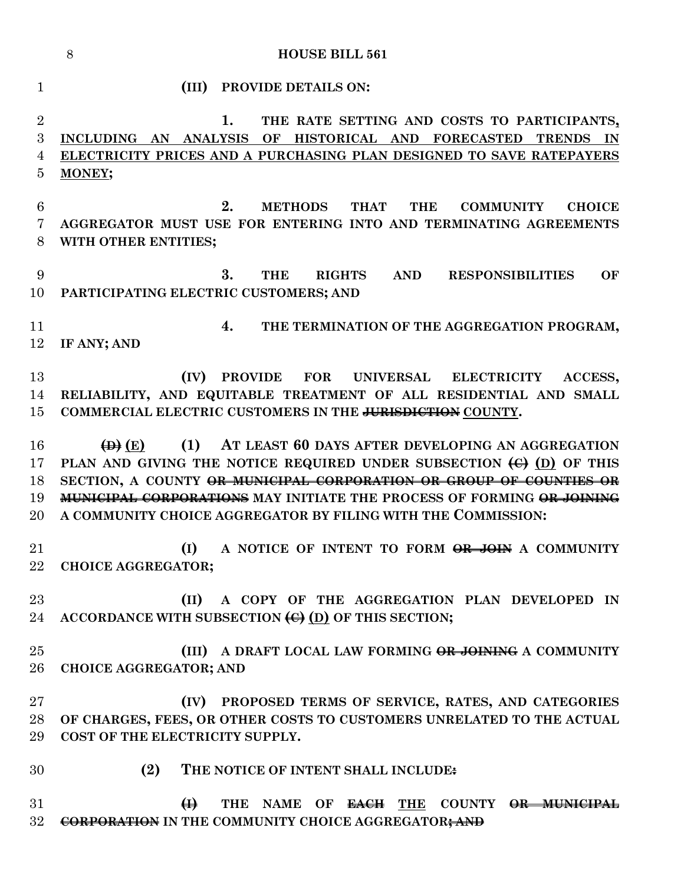**HOUSE BILL 561 (III) PROVIDE DETAILS ON: 1. THE RATE SETTING AND COSTS TO PARTICIPANTS, INCLUDING AN ANALYSIS OF HISTORICAL AND FORECASTED TRENDS IN ELECTRICITY PRICES AND A PURCHASING PLAN DESIGNED TO SAVE RATEPAYERS MONEY; 2. METHODS THAT THE COMMUNITY CHOICE AGGREGATOR MUST USE FOR ENTERING INTO AND TERMINATING AGREEMENTS WITH OTHER ENTITIES; 3. THE RIGHTS AND RESPONSIBILITIES OF PARTICIPATING ELECTRIC CUSTOMERS; AND 4. THE TERMINATION OF THE AGGREGATION PROGRAM, IF ANY; AND (IV) PROVIDE FOR UNIVERSAL ELECTRICITY ACCESS, RELIABILITY, AND EQUITABLE TREATMENT OF ALL RESIDENTIAL AND SMALL COMMERCIAL ELECTRIC CUSTOMERS IN THE JURISDICTION COUNTY. (D) (E) (1) AT LEAST 60 DAYS AFTER DEVELOPING AN AGGREGATION PLAN AND GIVING THE NOTICE REQUIRED UNDER SUBSECTION (C) (D) OF THIS SECTION, A COUNTY OR MUNICIPAL CORPORATION OR GROUP OF COUNTIES OR MUNICIPAL CORPORATIONS MAY INITIATE THE PROCESS OF FORMING OR JOINING A COMMUNITY CHOICE AGGREGATOR BY FILING WITH THE COMMISSION: (I) A NOTICE OF INTENT TO FORM OR JOIN A COMMUNITY CHOICE AGGREGATOR; (II) A COPY OF THE AGGREGATION PLAN DEVELOPED IN ACCORDANCE WITH SUBSECTION (C) (D) OF THIS SECTION; (III) A DRAFT LOCAL LAW FORMING OR JOINING A COMMUNITY CHOICE AGGREGATOR; AND (IV) PROPOSED TERMS OF SERVICE, RATES, AND CATEGORIES OF CHARGES, FEES, OR OTHER COSTS TO CUSTOMERS UNRELATED TO THE ACTUAL COST OF THE ELECTRICITY SUPPLY. (2) THE NOTICE OF INTENT SHALL INCLUDE: (I) THE NAME OF EACH THE COUNTY OR MUNICIPAL CORPORATION IN THE COMMUNITY CHOICE AGGREGATOR; AND**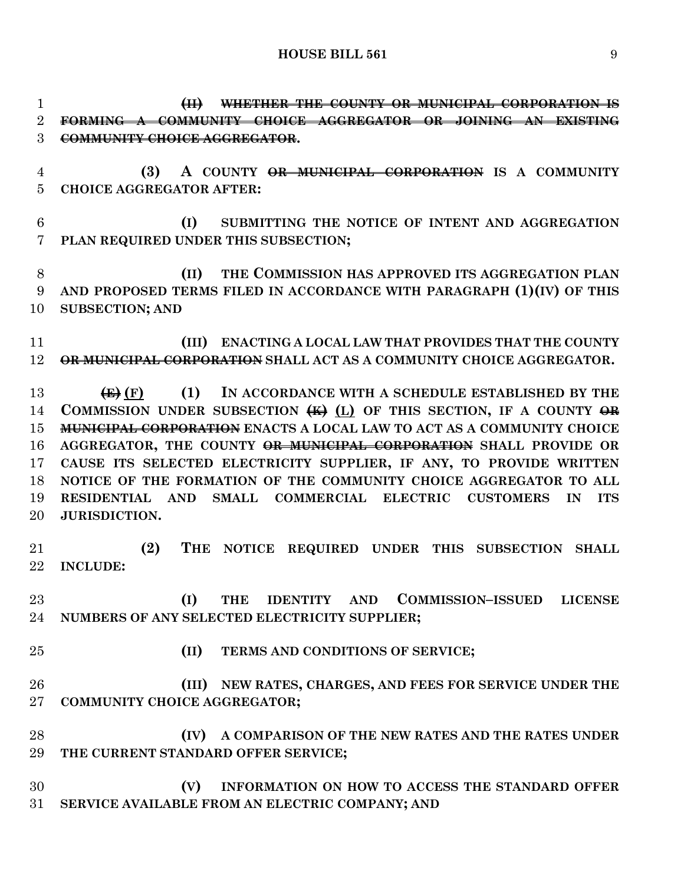**(II) WHETHER THE COUNTY OR MUNICIPAL CORPORATION IS FORMING A COMMUNITY CHOICE AGGREGATOR OR JOINING AN EXISTING COMMUNITY CHOICE AGGREGATOR. (3) A COUNTY OR MUNICIPAL CORPORATION IS A COMMUNITY CHOICE AGGREGATOR AFTER: (I) SUBMITTING THE NOTICE OF INTENT AND AGGREGATION PLAN REQUIRED UNDER THIS SUBSECTION; (II) THE COMMISSION HAS APPROVED ITS AGGREGATION PLAN AND PROPOSED TERMS FILED IN ACCORDANCE WITH PARAGRAPH (1)(IV) OF THIS SUBSECTION; AND (III) ENACTING A LOCAL LAW THAT PROVIDES THAT THE COUNTY OR MUNICIPAL CORPORATION SHALL ACT AS A COMMUNITY CHOICE AGGREGATOR. (E) (F) (1) IN ACCORDANCE WITH A SCHEDULE ESTABLISHED BY THE COMMISSION UNDER SUBSECTION (K) (L) OF THIS SECTION, IF A COUNTY OR MUNICIPAL CORPORATION ENACTS A LOCAL LAW TO ACT AS A COMMUNITY CHOICE AGGREGATOR, THE COUNTY OR MUNICIPAL CORPORATION SHALL PROVIDE OR CAUSE ITS SELECTED ELECTRICITY SUPPLIER, IF ANY, TO PROVIDE WRITTEN NOTICE OF THE FORMATION OF THE COMMUNITY CHOICE AGGREGATOR TO ALL RESIDENTIAL AND SMALL COMMERCIAL ELECTRIC CUSTOMERS IN ITS JURISDICTION. (2) THE NOTICE REQUIRED UNDER THIS SUBSECTION SHALL INCLUDE: (I) THE IDENTITY AND COMMISSION–ISSUED LICENSE NUMBERS OF ANY SELECTED ELECTRICITY SUPPLIER; (II) TERMS AND CONDITIONS OF SERVICE; (III) NEW RATES, CHARGES, AND FEES FOR SERVICE UNDER THE COMMUNITY CHOICE AGGREGATOR; (IV) A COMPARISON OF THE NEW RATES AND THE RATES UNDER THE CURRENT STANDARD OFFER SERVICE; (V) INFORMATION ON HOW TO ACCESS THE STANDARD OFFER** 

**SERVICE AVAILABLE FROM AN ELECTRIC COMPANY; AND**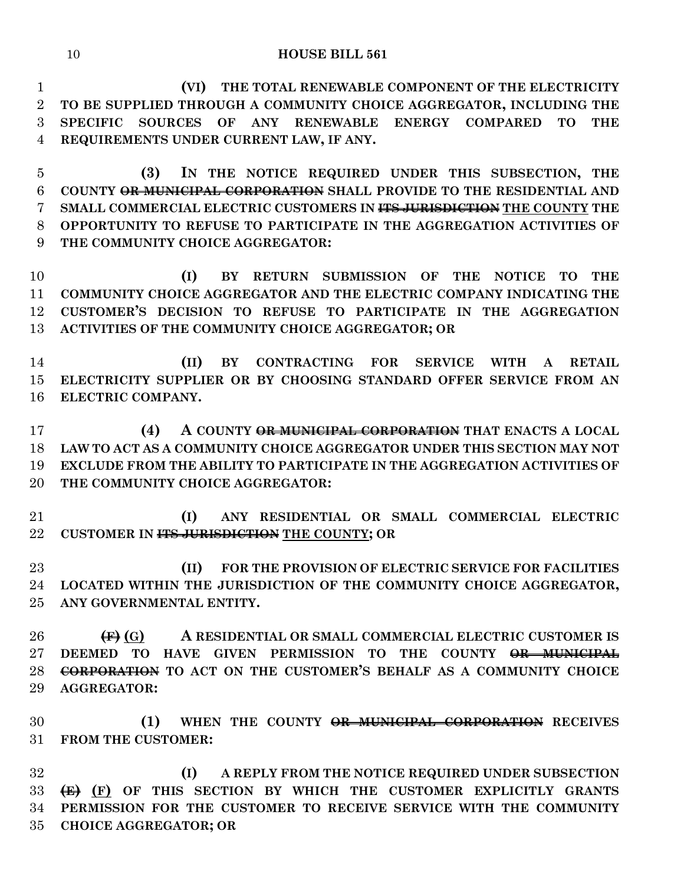**(VI) THE TOTAL RENEWABLE COMPONENT OF THE ELECTRICITY TO BE SUPPLIED THROUGH A COMMUNITY CHOICE AGGREGATOR, INCLUDING THE SPECIFIC SOURCES OF ANY RENEWABLE ENERGY COMPARED TO THE REQUIREMENTS UNDER CURRENT LAW, IF ANY.**

 **(3) IN THE NOTICE REQUIRED UNDER THIS SUBSECTION, THE COUNTY OR MUNICIPAL CORPORATION SHALL PROVIDE TO THE RESIDENTIAL AND SMALL COMMERCIAL ELECTRIC CUSTOMERS IN ITS JURISDICTION THE COUNTY THE OPPORTUNITY TO REFUSE TO PARTICIPATE IN THE AGGREGATION ACTIVITIES OF THE COMMUNITY CHOICE AGGREGATOR:**

 **(I) BY RETURN SUBMISSION OF THE NOTICE TO THE COMMUNITY CHOICE AGGREGATOR AND THE ELECTRIC COMPANY INDICATING THE CUSTOMER'S DECISION TO REFUSE TO PARTICIPATE IN THE AGGREGATION ACTIVITIES OF THE COMMUNITY CHOICE AGGREGATOR; OR**

 **(II) BY CONTRACTING FOR SERVICE WITH A RETAIL ELECTRICITY SUPPLIER OR BY CHOOSING STANDARD OFFER SERVICE FROM AN ELECTRIC COMPANY.**

 **(4) A COUNTY OR MUNICIPAL CORPORATION THAT ENACTS A LOCAL LAW TO ACT AS A COMMUNITY CHOICE AGGREGATOR UNDER THIS SECTION MAY NOT EXCLUDE FROM THE ABILITY TO PARTICIPATE IN THE AGGREGATION ACTIVITIES OF THE COMMUNITY CHOICE AGGREGATOR:**

 **(I) ANY RESIDENTIAL OR SMALL COMMERCIAL ELECTRIC CUSTOMER IN ITS JURISDICTION THE COUNTY; OR**

 **(II) FOR THE PROVISION OF ELECTRIC SERVICE FOR FACILITIES LOCATED WITHIN THE JURISDICTION OF THE COMMUNITY CHOICE AGGREGATOR, ANY GOVERNMENTAL ENTITY.**

 **(F) (G) A RESIDENTIAL OR SMALL COMMERCIAL ELECTRIC CUSTOMER IS DEEMED TO HAVE GIVEN PERMISSION TO THE COUNTY OR MUNICIPAL CORPORATION TO ACT ON THE CUSTOMER'S BEHALF AS A COMMUNITY CHOICE AGGREGATOR:**

 **(1) WHEN THE COUNTY OR MUNICIPAL CORPORATION RECEIVES FROM THE CUSTOMER:**

 **(I) A REPLY FROM THE NOTICE REQUIRED UNDER SUBSECTION (E) (F) OF THIS SECTION BY WHICH THE CUSTOMER EXPLICITLY GRANTS PERMISSION FOR THE CUSTOMER TO RECEIVE SERVICE WITH THE COMMUNITY CHOICE AGGREGATOR; OR**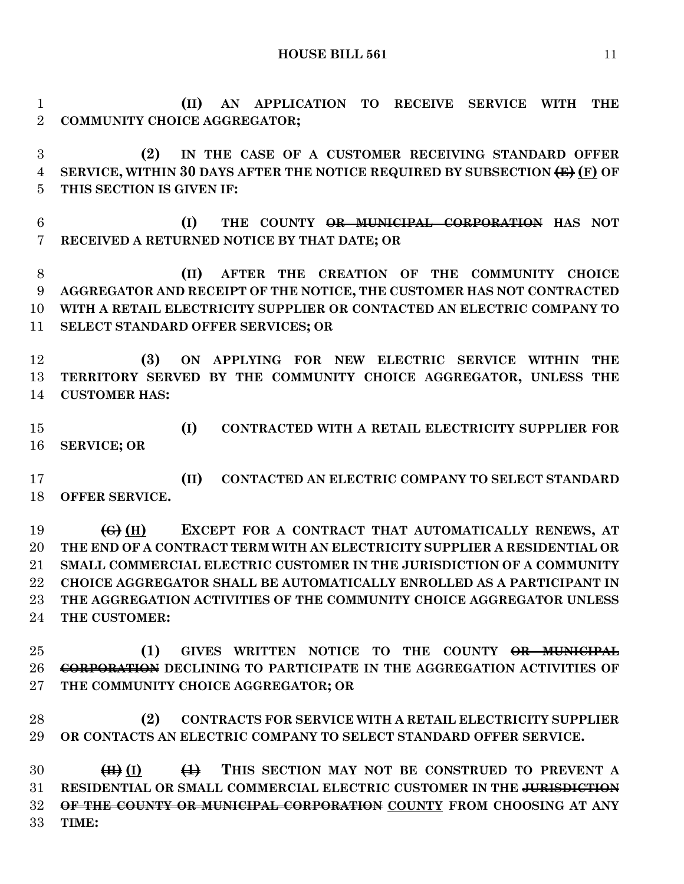**(II) AN APPLICATION TO RECEIVE SERVICE WITH THE COMMUNITY CHOICE AGGREGATOR;**

 **(2) IN THE CASE OF A CUSTOMER RECEIVING STANDARD OFFER SERVICE, WITHIN 30 DAYS AFTER THE NOTICE REQUIRED BY SUBSECTION (E) (F) OF THIS SECTION IS GIVEN IF:**

 **(I) THE COUNTY OR MUNICIPAL CORPORATION HAS NOT RECEIVED A RETURNED NOTICE BY THAT DATE; OR**

 **(II) AFTER THE CREATION OF THE COMMUNITY CHOICE AGGREGATOR AND RECEIPT OF THE NOTICE, THE CUSTOMER HAS NOT CONTRACTED WITH A RETAIL ELECTRICITY SUPPLIER OR CONTACTED AN ELECTRIC COMPANY TO SELECT STANDARD OFFER SERVICES; OR**

 **(3) ON APPLYING FOR NEW ELECTRIC SERVICE WITHIN THE TERRITORY SERVED BY THE COMMUNITY CHOICE AGGREGATOR, UNLESS THE CUSTOMER HAS:**

 **(I) CONTRACTED WITH A RETAIL ELECTRICITY SUPPLIER FOR SERVICE; OR** 

 **(II) CONTACTED AN ELECTRIC COMPANY TO SELECT STANDARD OFFER SERVICE.**

 **(G) (H) EXCEPT FOR A CONTRACT THAT AUTOMATICALLY RENEWS, AT THE END OF A CONTRACT TERM WITH AN ELECTRICITY SUPPLIER A RESIDENTIAL OR SMALL COMMERCIAL ELECTRIC CUSTOMER IN THE JURISDICTION OF A COMMUNITY CHOICE AGGREGATOR SHALL BE AUTOMATICALLY ENROLLED AS A PARTICIPANT IN THE AGGREGATION ACTIVITIES OF THE COMMUNITY CHOICE AGGREGATOR UNLESS THE CUSTOMER:**

 **(1) GIVES WRITTEN NOTICE TO THE COUNTY OR MUNICIPAL CORPORATION DECLINING TO PARTICIPATE IN THE AGGREGATION ACTIVITIES OF THE COMMUNITY CHOICE AGGREGATOR; OR**

 **(2) CONTRACTS FOR SERVICE WITH A RETAIL ELECTRICITY SUPPLIER OR CONTACTS AN ELECTRIC COMPANY TO SELECT STANDARD OFFER SERVICE.**

 **(H) (I) (1) THIS SECTION MAY NOT BE CONSTRUED TO PREVENT A RESIDENTIAL OR SMALL COMMERCIAL ELECTRIC CUSTOMER IN THE JURISDICTION OF THE COUNTY OR MUNICIPAL CORPORATION COUNTY FROM CHOOSING AT ANY TIME:**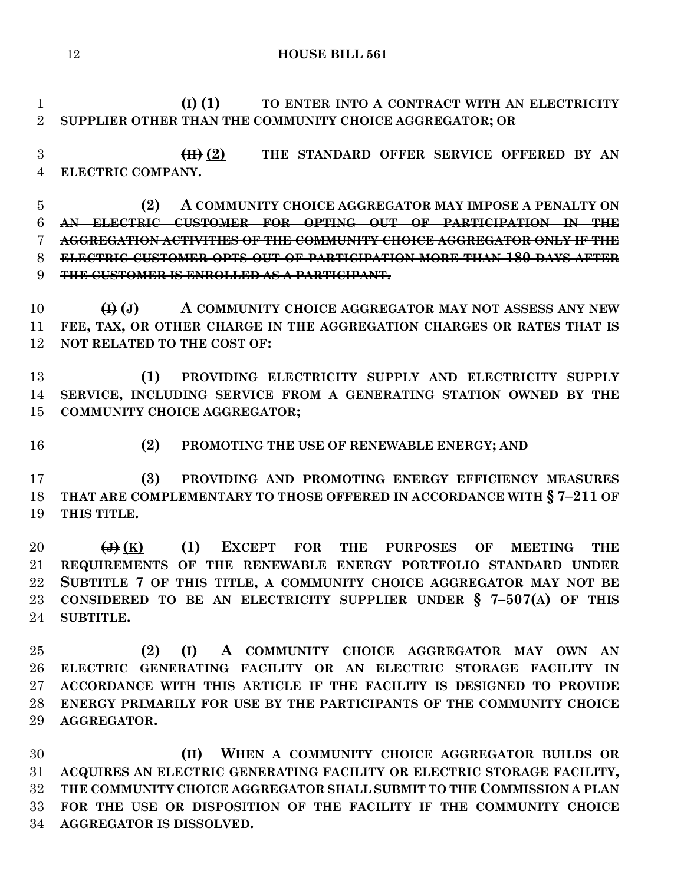**(i) (i) TO ENTER INTO A CONTRACT WITH AN ELECTRICITY SUPPLIER OTHER THAN THE COMMUNITY CHOICE AGGREGATOR; OR**

 **(II) (2) THE STANDARD OFFER SERVICE OFFERED BY AN ELECTRIC COMPANY.**

 **(2) A COMMUNITY CHOICE AGGREGATOR MAY IMPOSE A PENALTY ON AN ELECTRIC CUSTOMER FOR OPTING OUT OF PARTICIPATION IN THE AGGREGATION ACTIVITIES OF THE COMMUNITY CHOICE AGGREGATOR ONLY IF THE ELECTRIC CUSTOMER OPTS OUT OF PARTICIPATION MORE THAN 180 DAYS AFTER THE CUSTOMER IS ENROLLED AS A PARTICIPANT.**

 **(I) (J) A COMMUNITY CHOICE AGGREGATOR MAY NOT ASSESS ANY NEW FEE, TAX, OR OTHER CHARGE IN THE AGGREGATION CHARGES OR RATES THAT IS NOT RELATED TO THE COST OF:**

 **(1) PROVIDING ELECTRICITY SUPPLY AND ELECTRICITY SUPPLY SERVICE, INCLUDING SERVICE FROM A GENERATING STATION OWNED BY THE COMMUNITY CHOICE AGGREGATOR;**

**(2) PROMOTING THE USE OF RENEWABLE ENERGY; AND**

 **(3) PROVIDING AND PROMOTING ENERGY EFFICIENCY MEASURES THAT ARE COMPLEMENTARY TO THOSE OFFERED IN ACCORDANCE WITH § 7–211 OF THIS TITLE.**

 **(J) (K) (1) EXCEPT FOR THE PURPOSES OF MEETING THE REQUIREMENTS OF THE RENEWABLE ENERGY PORTFOLIO STANDARD UNDER SUBTITLE 7 OF THIS TITLE, A COMMUNITY CHOICE AGGREGATOR MAY NOT BE CONSIDERED TO BE AN ELECTRICITY SUPPLIER UNDER § 7–507(A) OF THIS SUBTITLE.**

 **(2) (I) A COMMUNITY CHOICE AGGREGATOR MAY OWN AN ELECTRIC GENERATING FACILITY OR AN ELECTRIC STORAGE FACILITY IN ACCORDANCE WITH THIS ARTICLE IF THE FACILITY IS DESIGNED TO PROVIDE ENERGY PRIMARILY FOR USE BY THE PARTICIPANTS OF THE COMMUNITY CHOICE AGGREGATOR.**

 **(II) WHEN A COMMUNITY CHOICE AGGREGATOR BUILDS OR ACQUIRES AN ELECTRIC GENERATING FACILITY OR ELECTRIC STORAGE FACILITY, THE COMMUNITY CHOICE AGGREGATOR SHALL SUBMIT TO THE COMMISSION A PLAN FOR THE USE OR DISPOSITION OF THE FACILITY IF THE COMMUNITY CHOICE AGGREGATOR IS DISSOLVED.**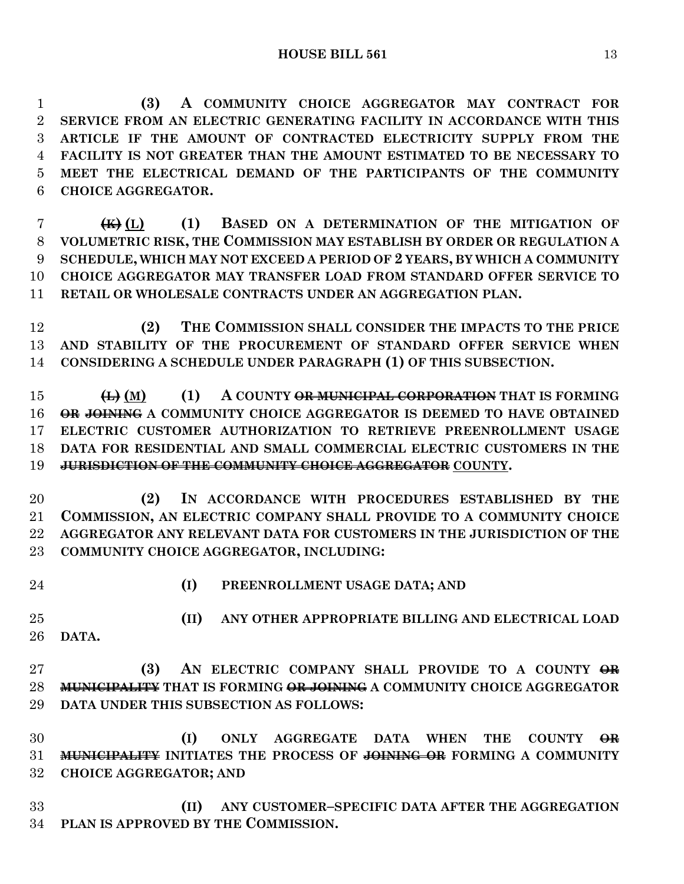**(3) A COMMUNITY CHOICE AGGREGATOR MAY CONTRACT FOR SERVICE FROM AN ELECTRIC GENERATING FACILITY IN ACCORDANCE WITH THIS ARTICLE IF THE AMOUNT OF CONTRACTED ELECTRICITY SUPPLY FROM THE FACILITY IS NOT GREATER THAN THE AMOUNT ESTIMATED TO BE NECESSARY TO MEET THE ELECTRICAL DEMAND OF THE PARTICIPANTS OF THE COMMUNITY CHOICE AGGREGATOR.**

 **(K) (L) (1) BASED ON A DETERMINATION OF THE MITIGATION OF VOLUMETRIC RISK, THE COMMISSION MAY ESTABLISH BY ORDER OR REGULATION A SCHEDULE, WHICH MAY NOT EXCEED A PERIOD OF 2 YEARS, BY WHICH A COMMUNITY CHOICE AGGREGATOR MAY TRANSFER LOAD FROM STANDARD OFFER SERVICE TO RETAIL OR WHOLESALE CONTRACTS UNDER AN AGGREGATION PLAN.**

 **(2) THE COMMISSION SHALL CONSIDER THE IMPACTS TO THE PRICE AND STABILITY OF THE PROCUREMENT OF STANDARD OFFER SERVICE WHEN CONSIDERING A SCHEDULE UNDER PARAGRAPH (1) OF THIS SUBSECTION.**

 **(L) (M) (1) A COUNTY OR MUNICIPAL CORPORATION THAT IS FORMING OR JOINING A COMMUNITY CHOICE AGGREGATOR IS DEEMED TO HAVE OBTAINED ELECTRIC CUSTOMER AUTHORIZATION TO RETRIEVE PREENROLLMENT USAGE DATA FOR RESIDENTIAL AND SMALL COMMERCIAL ELECTRIC CUSTOMERS IN THE JURISDICTION OF THE COMMUNITY CHOICE AGGREGATOR COUNTY.**

 **(2) IN ACCORDANCE WITH PROCEDURES ESTABLISHED BY THE COMMISSION, AN ELECTRIC COMPANY SHALL PROVIDE TO A COMMUNITY CHOICE AGGREGATOR ANY RELEVANT DATA FOR CUSTOMERS IN THE JURISDICTION OF THE COMMUNITY CHOICE AGGREGATOR, INCLUDING:**

- 
- **(I) PREENROLLMENT USAGE DATA; AND**

 **(II) ANY OTHER APPROPRIATE BILLING AND ELECTRICAL LOAD DATA.**

 **(3) AN ELECTRIC COMPANY SHALL PROVIDE TO A COUNTY OR MUNICIPALITY THAT IS FORMING OR JOINING A COMMUNITY CHOICE AGGREGATOR DATA UNDER THIS SUBSECTION AS FOLLOWS:**

 **(I) ONLY AGGREGATE DATA WHEN THE COUNTY OR MUNICIPALITY INITIATES THE PROCESS OF JOINING OR FORMING A COMMUNITY CHOICE AGGREGATOR; AND**

 **(II) ANY CUSTOMER–SPECIFIC DATA AFTER THE AGGREGATION PLAN IS APPROVED BY THE COMMISSION.**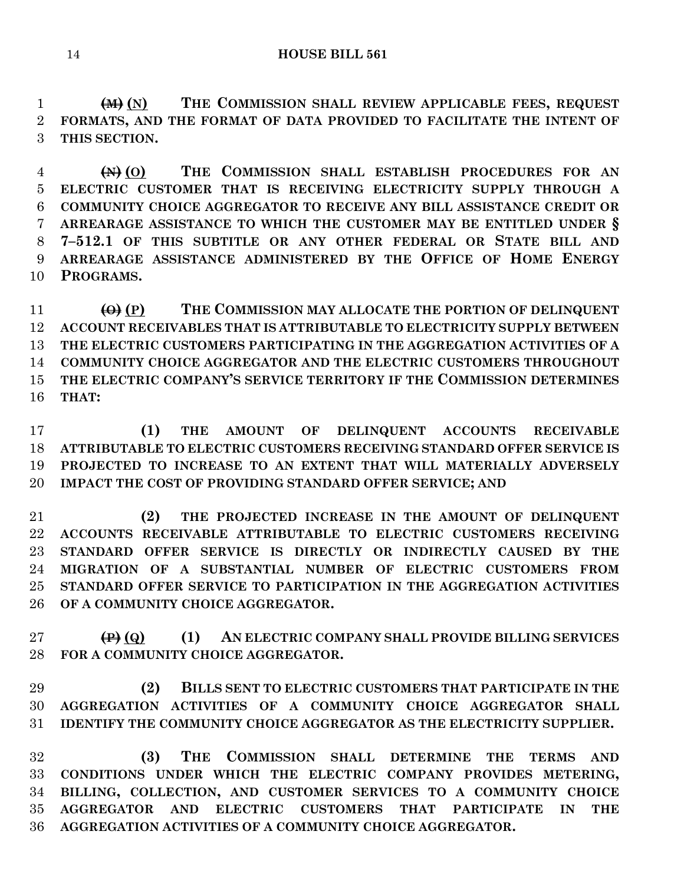**(M) (N) THE COMMISSION SHALL REVIEW APPLICABLE FEES, REQUEST FORMATS, AND THE FORMAT OF DATA PROVIDED TO FACILITATE THE INTENT OF THIS SECTION.**

 **(N) (O) THE COMMISSION SHALL ESTABLISH PROCEDURES FOR AN ELECTRIC CUSTOMER THAT IS RECEIVING ELECTRICITY SUPPLY THROUGH A COMMUNITY CHOICE AGGREGATOR TO RECEIVE ANY BILL ASSISTANCE CREDIT OR ARREARAGE ASSISTANCE TO WHICH THE CUSTOMER MAY BE ENTITLED UNDER § 7–512.1 OF THIS SUBTITLE OR ANY OTHER FEDERAL OR STATE BILL AND ARREARAGE ASSISTANCE ADMINISTERED BY THE OFFICE OF HOME ENERGY PROGRAMS.**

 **(O) (P) THE COMMISSION MAY ALLOCATE THE PORTION OF DELINQUENT ACCOUNT RECEIVABLES THAT IS ATTRIBUTABLE TO ELECTRICITY SUPPLY BETWEEN THE ELECTRIC CUSTOMERS PARTICIPATING IN THE AGGREGATION ACTIVITIES OF A COMMUNITY CHOICE AGGREGATOR AND THE ELECTRIC CUSTOMERS THROUGHOUT THE ELECTRIC COMPANY'S SERVICE TERRITORY IF THE COMMISSION DETERMINES THAT:**

 **(1) THE AMOUNT OF DELINQUENT ACCOUNTS RECEIVABLE ATTRIBUTABLE TO ELECTRIC CUSTOMERS RECEIVING STANDARD OFFER SERVICE IS PROJECTED TO INCREASE TO AN EXTENT THAT WILL MATERIALLY ADVERSELY IMPACT THE COST OF PROVIDING STANDARD OFFER SERVICE; AND**

 **(2) THE PROJECTED INCREASE IN THE AMOUNT OF DELINQUENT ACCOUNTS RECEIVABLE ATTRIBUTABLE TO ELECTRIC CUSTOMERS RECEIVING STANDARD OFFER SERVICE IS DIRECTLY OR INDIRECTLY CAUSED BY THE MIGRATION OF A SUBSTANTIAL NUMBER OF ELECTRIC CUSTOMERS FROM STANDARD OFFER SERVICE TO PARTICIPATION IN THE AGGREGATION ACTIVITIES OF A COMMUNITY CHOICE AGGREGATOR.**

 **(P) (Q) (1) AN ELECTRIC COMPANY SHALL PROVIDE BILLING SERVICES FOR A COMMUNITY CHOICE AGGREGATOR.**

 **(2) BILLS SENT TO ELECTRIC CUSTOMERS THAT PARTICIPATE IN THE AGGREGATION ACTIVITIES OF A COMMUNITY CHOICE AGGREGATOR SHALL IDENTIFY THE COMMUNITY CHOICE AGGREGATOR AS THE ELECTRICITY SUPPLIER.**

 **(3) THE COMMISSION SHALL DETERMINE THE TERMS AND CONDITIONS UNDER WHICH THE ELECTRIC COMPANY PROVIDES METERING, BILLING, COLLECTION, AND CUSTOMER SERVICES TO A COMMUNITY CHOICE AGGREGATOR AND ELECTRIC CUSTOMERS THAT PARTICIPATE IN THE AGGREGATION ACTIVITIES OF A COMMUNITY CHOICE AGGREGATOR.**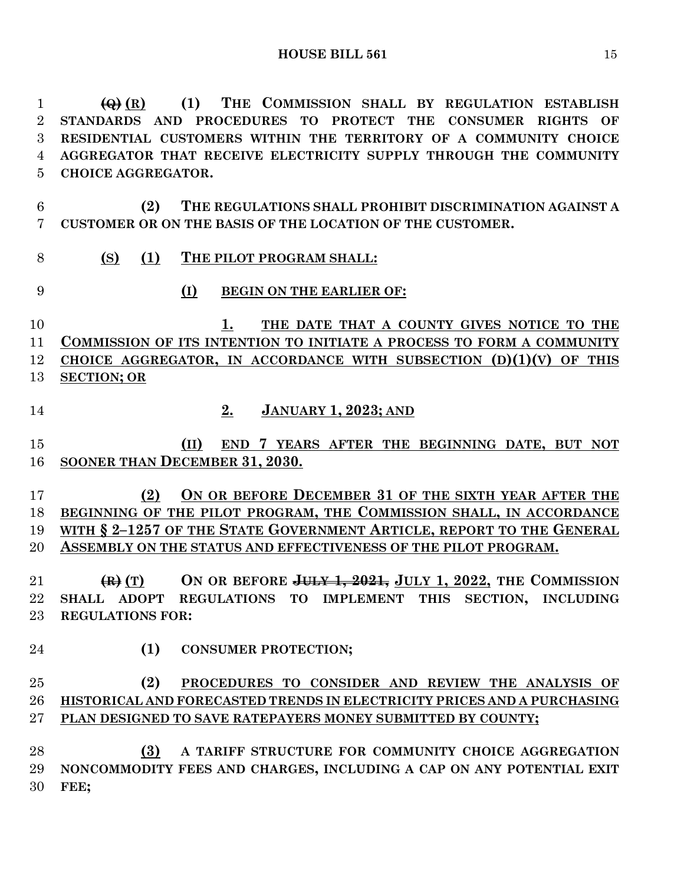**(Q) (R) (1) THE COMMISSION SHALL BY REGULATION ESTABLISH STANDARDS AND PROCEDURES TO PROTECT THE CONSUMER RIGHTS OF RESIDENTIAL CUSTOMERS WITHIN THE TERRITORY OF A COMMUNITY CHOICE AGGREGATOR THAT RECEIVE ELECTRICITY SUPPLY THROUGH THE COMMUNITY CHOICE AGGREGATOR.**

- **(2) THE REGULATIONS SHALL PROHIBIT DISCRIMINATION AGAINST A CUSTOMER OR ON THE BASIS OF THE LOCATION OF THE CUSTOMER.**
- **(S) (1) THE PILOT PROGRAM SHALL:**
- **(I) BEGIN ON THE EARLIER OF:**

 **1. THE DATE THAT A COUNTY GIVES NOTICE TO THE COMMISSION OF ITS INTENTION TO INITIATE A PROCESS TO FORM A COMMUNITY CHOICE AGGREGATOR, IN ACCORDANCE WITH SUBSECTION (D)(1)(V) OF THIS SECTION; OR**

- **2. JANUARY 1, 2023; AND**
- **(II) END 7 YEARS AFTER THE BEGINNING DATE, BUT NOT SOONER THAN DECEMBER 31, 2030.**

 **(2) ON OR BEFORE DECEMBER 31 OF THE SIXTH YEAR AFTER THE BEGINNING OF THE PILOT PROGRAM, THE COMMISSION SHALL, IN ACCORDANCE WITH § 2–1257 OF THE STATE GOVERNMENT ARTICLE, REPORT TO THE GENERAL ASSEMBLY ON THE STATUS AND EFFECTIVENESS OF THE PILOT PROGRAM.**

 **(R) (T) ON OR BEFORE JULY 1, 2021, JULY 1, 2022, THE COMMISSION SHALL ADOPT REGULATIONS TO IMPLEMENT THIS SECTION, INCLUDING REGULATIONS FOR:**

- **(1) CONSUMER PROTECTION;**
- **(2) PROCEDURES TO CONSIDER AND REVIEW THE ANALYSIS OF HISTORICAL AND FORECASTED TRENDS IN ELECTRICITY PRICES AND A PURCHASING PLAN DESIGNED TO SAVE RATEPAYERS MONEY SUBMITTED BY COUNTY;**

 **(3) A TARIFF STRUCTURE FOR COMMUNITY CHOICE AGGREGATION NONCOMMODITY FEES AND CHARGES, INCLUDING A CAP ON ANY POTENTIAL EXIT FEE;**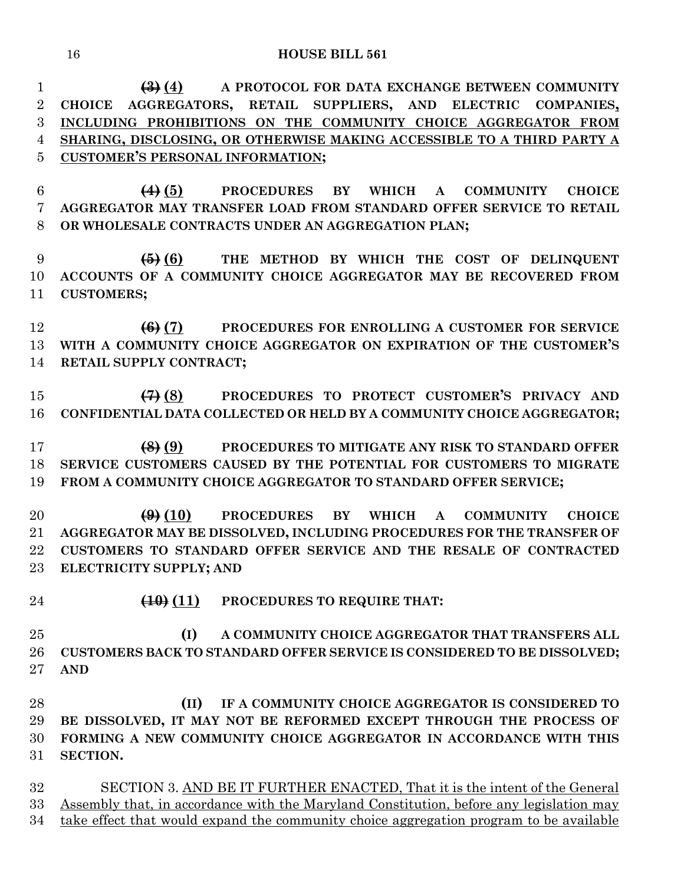| $\mathbf{1}$     | $\left(\frac{1}{2}\right)$ (4) A PROTOCOL FOR DATA EXCHANGE BETWEEN COMMUNITY           |
|------------------|-----------------------------------------------------------------------------------------|
| $\boldsymbol{2}$ | AGGREGATORS, RETAIL SUPPLIERS, AND ELECTRIC<br><b>CHOICE</b><br><b>COMPANIES,</b>       |
| 3                | INCLUDING PROHIBITIONS ON THE COMMUNITY CHOICE AGGREGATOR FROM                          |
| $\overline{4}$   | SHARING, DISCLOSING, OR OTHERWISE MAKING ACCESSIBLE TO A THIRD PARTY A                  |
| $\overline{5}$   | <b>CUSTOMER'S PERSONAL INFORMATION;</b>                                                 |
| $6\phantom{.}6$  | $(4)$ (5)<br><b>PROCEDURES BY</b><br>WHICH A COMMUNITY<br><b>CHOICE</b>                 |
| 7                | AGGREGATOR MAY TRANSFER LOAD FROM STANDARD OFFER SERVICE TO RETAIL                      |
| 8                | OR WHOLESALE CONTRACTS UNDER AN AGGREGATION PLAN;                                       |
| 9                | $\overline{6}$ (6) THE METHOD BY WHICH THE COST OF DELINQUENT                           |
| 10               | ACCOUNTS OF A COMMUNITY CHOICE AGGREGATOR MAY BE RECOVERED FROM                         |
| 11               | <b>CUSTOMERS;</b>                                                                       |
| 12               | $(6)$ $(7)$<br>PROCEDURES FOR ENROLLING A CUSTOMER FOR SERVICE                          |
| 13               | WITH A COMMUNITY CHOICE AGGREGATOR ON EXPIRATION OF THE CUSTOMER'S                      |
| 14               | RETAIL SUPPLY CONTRACT;                                                                 |
| 15               | $\left(\frac{1}{2}\right)$ (8) PROCEDURES TO PROTECT CUSTOMER'S PRIVACY AND             |
| 16               | CONFIDENTIAL DATA COLLECTED OR HELD BY A COMMUNITY CHOICE AGGREGATOR;                   |
| 17               | $\left( 8 \right) (9)$<br>PROCEDURES TO MITIGATE ANY RISK TO STANDARD OFFER             |
| 18               | SERVICE CUSTOMERS CAUSED BY THE POTENTIAL FOR CUSTOMERS TO MIGRATE                      |
| 19               | FROM A COMMUNITY CHOICE AGGREGATOR TO STANDARD OFFER SERVICE;                           |
| 20               | PROCEDURES BY WHICH A COMMUNITY<br>$\left(\frac{0}{2}\right)$ (10)<br><b>CHOICE</b>     |
| $21\,$           | AGGREGATOR MAY BE DISSOLVED, INCLUDING PROCEDURES FOR THE TRANSFER OF                   |
| 22               | CUSTOMERS TO STANDARD OFFER SERVICE AND THE RESALE OF CONTRACTED                        |
| $23\,$           | ELECTRICITY SUPPLY; AND                                                                 |
| 24               | $\left(\frac{10}{11}\right)$ PROCEDURES TO REQUIRE THAT:                                |
| 25               | (I)<br>A COMMUNITY CHOICE AGGREGATOR THAT TRANSFERS ALL                                 |
| 26               | CUSTOMERS BACK TO STANDARD OFFER SERVICE IS CONSIDERED TO BE DISSOLVED;                 |
| $27\,$           | <b>AND</b>                                                                              |
| 28               | (II)<br>IF A COMMUNITY CHOICE AGGREGATOR IS CONSIDERED TO                               |
| 29               | BE DISSOLVED, IT MAY NOT BE REFORMED EXCEPT THROUGH THE PROCESS OF                      |
| 30               | FORMING A NEW COMMUNITY CHOICE AGGREGATOR IN ACCORDANCE WITH THIS                       |
| 31               | SECTION.                                                                                |
| $32\,$           | SECTION 3. AND BE IT FURTHER ENACTED, That it is the intent of the General              |
| 33               | Assembly that, in accordance with the Maryland Constitution, before any legislation may |
| 34               | take effect that would expand the community choice aggregation program to be available  |
|                  |                                                                                         |